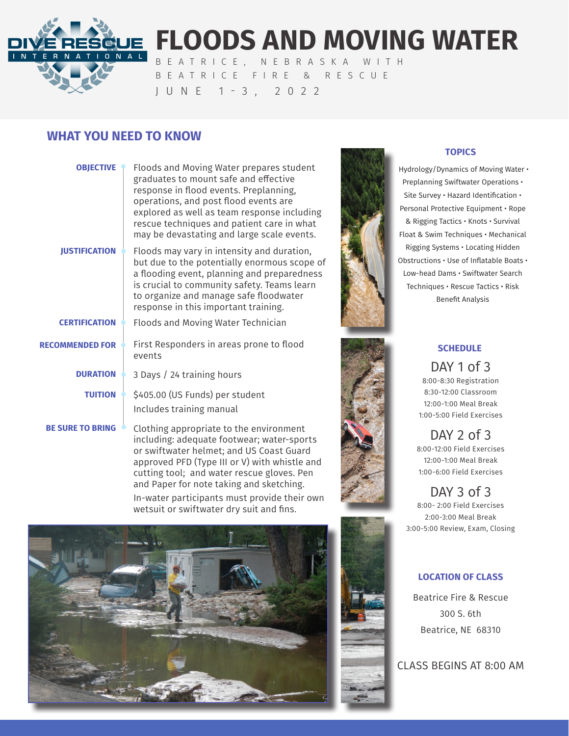

# **FLOODS AND MOVING WATER**

BEATRICE, NEBRASKA WITH BEATRICE FIRE & RESCUE JUNE 1-3, 2022

## **WHAT YOU NEED TO KNOW**

| <b>OBJECTIVE</b>        | Floods and Moving Water prepares student<br>graduates to mount safe and effective<br>response in flood events. Preplanning,<br>operations, and post flood events are<br>explored as well as team response including<br>rescue techniques and patient care in what<br>may be devastating and large scale events. |  |
|-------------------------|-----------------------------------------------------------------------------------------------------------------------------------------------------------------------------------------------------------------------------------------------------------------------------------------------------------------|--|
| <b>JUSTIFICATION</b>    | Floods may vary in intensity and duration,<br>but due to the potentially enormous scope of<br>a flooding event, planning and preparedness<br>is crucial to community safety. Teams learn<br>to organize and manage safe floodwater<br>response in this important training.                                      |  |
| <b>CERTIFICATION</b>    | Floods and Moving Water Technician                                                                                                                                                                                                                                                                              |  |
| <b>RECOMMENDED FOR</b>  | First Responders in areas prone to flood<br>events                                                                                                                                                                                                                                                              |  |
| <b>DURATION</b>         | 3 Days / 24 training hours                                                                                                                                                                                                                                                                                      |  |
| <b>TUITION</b>          | \$405.00 (US Funds) per student<br>Includes training manual                                                                                                                                                                                                                                                     |  |
| <b>BE SURE TO BRING</b> | Clothing appropriate to the environment<br>including: adequate footwear; water-sports                                                                                                                                                                                                                           |  |

or swiftwater helmet; and US Coast Guard approved PFD (Type III or V) with whistle and cutting tool; and water rescue gloves. Pen and Paper for note taking and sketching. In-water participants must provide their own wetsuit or swiftwater dry suit and fins.





## **TOPICS**

 Hydrology/Dynamics of Moving Water • Preplanning Swiftwater Operations • Site Survey • Hazard Identification • Personal Protective Equipment • Rope & Rigging Tactics • Knots • Survival Float & Swim Techniques • Mechanical Rigging Systems • Locating Hidden Obstructions • Use of Inflatable Boats • Low-head Dams • Swiftwater Search Techniques • Rescue Tactics • Risk Benefit Analysis





## **SCHEDULE**

DAY 1 of 3 8:00-8:30 Registration 8:30-12:00 Classroom 12:00-1:00 Meal Break 1:00-5:00 Field Exercises

DAY  $2$  of  $3$ 8:00-12:00 Field Exercises 12:00-1:00 Meal Break 1:00-6:00 Field Exercises

DAY 3 of 3 8:00- 2:00 Field Exercises 2:00-3:00 Meal Break 3:00-5:00 Review, Exam, Closing

### **LOCATION OF CLASS**

Beatrice Fire & Rescue 300 S. 6th Beatrice, NE 68310

CLASS BEGINS AT 8:00 AM